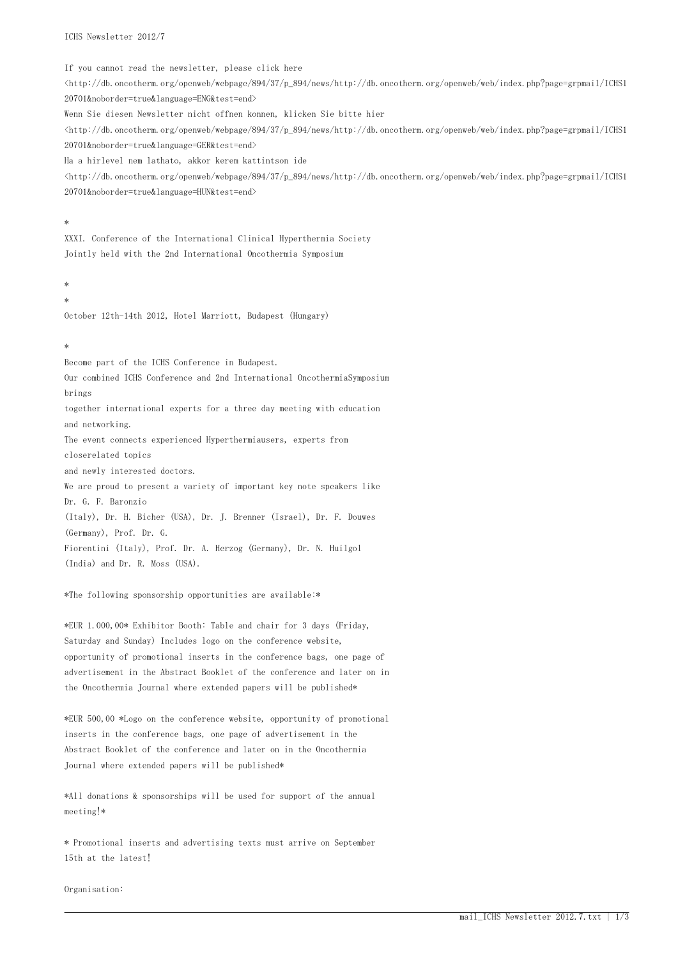ICHS Newsletter 2012/7

If you cannot read the newsletter, please click here  $\frac{\text{th}}{\text{th}}$ /db.oncotherm.org/openweb/webpage/894/37/p\_894/news/http://db.oncotherm.org/openweb/web/index.php?page=grpmail/ICHS1 20701&noborder=true&language=ENG&test=end> Wenn Sie diesen Newsletter nicht offnen konnen, klicken Sie bitte hier <http://db.oncotherm.org/openweb/webpage/894/37/p\_894/news/http://db.oncotherm.org/openweb/web/index.php?page=grpmail/ICHS1 20701&noborder=true&language=GER&test=end> Ha a hirlevel nem lathato, akkor kerem kattintson ide <http://db.oncotherm.org/openweb/webpage/894/37/p\_894/news/http://db.oncotherm.org/openweb/web/index.php?page=grpmail/ICHS1 20701&noborder=true&language=HUN&test=end>

#### \*

XXXI. Conference of the International Clinical Hyperthermia Society Jointly held with the 2nd International Oncothermia Symposium

# \*

\*

October 12th-14th 2012, Hotel Marriott, Budapest (Hungary)

#### \*

Become part of the ICHS Conference in Budapest.

Our combined ICHS Conference and 2nd International OncothermiaSymposium brings

together international experts for a three day meeting with education and networking.

The event connects experienced Hyperthermiausers, experts from closerelated topics

and newly interested doctors.

We are proud to present a variety of important key note speakers like Dr. G. F. Baronzio

(Italy), Dr. H. Bicher (USA), Dr. J. Brenner (Israel), Dr. F. Douwes (Germany), Prof. Dr. G.

Fiorentini (Italy), Prof. Dr. A. Herzog (Germany), Dr. N. Huilgol (India) and Dr. R. Moss (USA).

\*The following sponsorship opportunities are available:\*

\*EUR 1.000,00\* Exhibitor Booth: Table and chair for 3 days (Friday, Saturday and Sunday) Includes logo on the conference website, opportunity of promotional inserts in the conference bags, one page of advertisement in the Abstract Booklet of the conference and later on in the Oncothermia Journal where extended papers will be published\*

\*EUR 500,00 \*Logo on the conference website, opportunity of promotional inserts in the conference bags, one page of advertisement in the Abstract Booklet of the conference and later on in the Oncothermia Journal where extended papers will be published\*

\*All donations & sponsorships will be used for support of the annual meeting!\*

\* Promotional inserts and advertising texts must arrive on September 15th at the latest!

Organisation: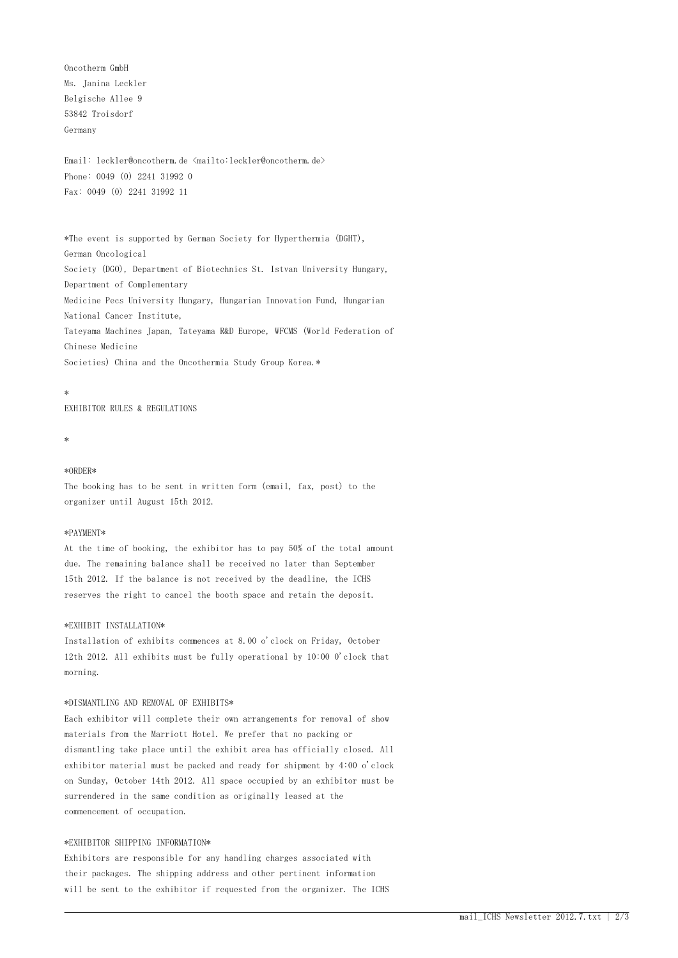Oncotherm GmbH Ms. Janina Leckler Belgische Allee 9 53842 Troisdorf Germany

Email: leckler@oncotherm.de <mailto:leckler@oncotherm.de> Phone: 0049 (0) 2241 31992 0 Fax: 0049 (0) 2241 31992 11

\*The event is supported by German Society for Hyperthermia (DGHT), German Oncological Society (DGO), Department of Biotechnics St. Istvan University Hungary, Department of Complementary Medicine Pecs University Hungary, Hungarian Innovation Fund, Hungarian National Cancer Institute, Tateyama Machines Japan, Tateyama R&D Europe, WFCMS (World Federation of Chinese Medicine Societies) China and the Oncothermia Study Group Korea.\*

#### \*

EXHIBITOR RULES & REGULATIONS

```
*
```
### \*ORDER\*

The booking has to be sent in written form (email, fax, post) to the organizer until August 15th 2012.

#### \*PAYMENT\*

At the time of booking, the exhibitor has to pay 50% of the total amount due. The remaining balance shall be received no later than September 15th 2012. If the balance is not received by the deadline, the ICHS reserves the right to cancel the booth space and retain the deposit.

#### \*EXHIBIT INSTALLATION\*

Installation of exhibits commences at 8.00 o'clock on Friday, October 12th 2012. All exhibits must be fully operational by 10:00 0'clock that morning.

# \*DISMANTLING AND REMOVAL OF EXHIBITS\*

Each exhibitor will complete their own arrangements for removal of show materials from the Marriott Hotel. We prefer that no packing or dismantling take place until the exhibit area has officially closed. All exhibitor material must be packed and ready for shipment by 4:00 o'clock on Sunday, October 14th 2012. All space occupied by an exhibitor must be surrendered in the same condition as originally leased at the commencement of occupation.

# \*EXHIBITOR SHIPPING INFORMATION\*

Exhibitors are responsible for any handling charges associated with their packages. The shipping address and other pertinent information will be sent to the exhibitor if requested from the organizer. The ICHS